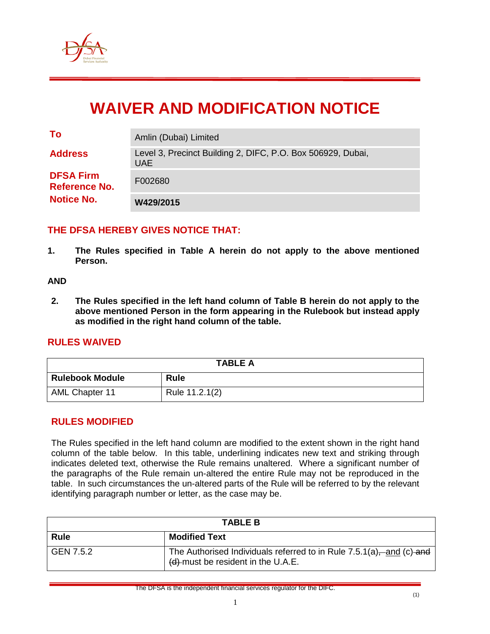

# **WAIVER AND MODIFICATION NOTICE**

| To                                       | Amlin (Dubai) Limited                                                     |
|------------------------------------------|---------------------------------------------------------------------------|
| <b>Address</b>                           | Level 3, Precinct Building 2, DIFC, P.O. Box 506929, Dubai,<br><b>UAE</b> |
| <b>DFSA Firm</b><br><b>Reference No.</b> | F002680                                                                   |
| <b>Notice No.</b>                        | W429/2015                                                                 |

### **THE DFSA HEREBY GIVES NOTICE THAT:**

**1. The Rules specified in Table A herein do not apply to the above mentioned Person.**

#### **AND**

**2. The Rules specified in the left hand column of Table B herein do not apply to the above mentioned Person in the form appearing in the Rulebook but instead apply as modified in the right hand column of the table.**

#### **RULES WAIVED**

| <b>TABLE A</b>         |                |  |  |
|------------------------|----------------|--|--|
| <b>Rulebook Module</b> | <b>Rule</b>    |  |  |
| <b>AML Chapter 11</b>  | Rule 11.2.1(2) |  |  |

#### **RULES MODIFIED**

The Rules specified in the left hand column are modified to the extent shown in the right hand column of the table below. In this table, underlining indicates new text and striking through indicates deleted text, otherwise the Rule remains unaltered. Where a significant number of the paragraphs of the Rule remain un-altered the entire Rule may not be reproduced in the table. In such circumstances the un-altered parts of the Rule will be referred to by the relevant identifying paragraph number or letter, as the case may be.

| <b>TABLE B</b> |                                                                                                                  |  |
|----------------|------------------------------------------------------------------------------------------------------------------|--|
| <b>Rule</b>    | <b>Modified Text</b>                                                                                             |  |
| GEN 7.5.2      | The Authorised Individuals referred to in Rule $7.5.1(a)$ , and (c) and<br>$(d)$ -must be resident in the U.A.E. |  |